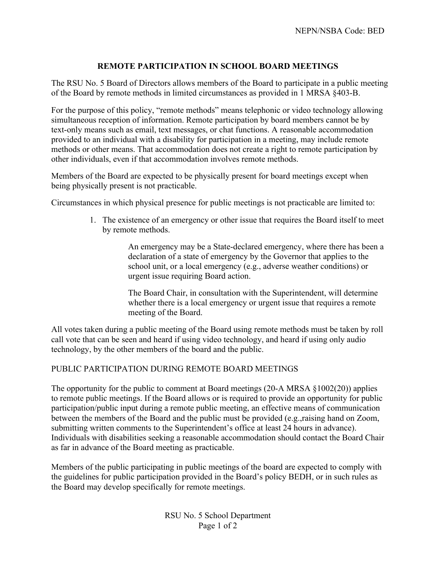## **REMOTE PARTICIPATION IN SCHOOL BOARD MEETINGS**

The RSU No. 5 Board of Directors allows members of the Board to participate in a public meeting of the Board by remote methods in limited circumstances as provided in 1 MRSA §403-B.

For the purpose of this policy, "remote methods" means telephonic or video technology allowing simultaneous reception of information. Remote participation by board members cannot be by text-only means such as email, text messages, or chat functions. A reasonable accommodation provided to an individual with a disability for participation in a meeting, may include remote methods or other means. That accommodation does not create a right to remote participation by other individuals, even if that accommodation involves remote methods.

Members of the Board are expected to be physically present for board meetings except when being physically present is not practicable.

Circumstances in which physical presence for public meetings is not practicable are limited to:

1. The existence of an emergency or other issue that requires the Board itself to meet by remote methods.

> An emergency may be a State-declared emergency, where there has been a declaration of a state of emergency by the Governor that applies to the school unit, or a local emergency (e.g., adverse weather conditions) or urgent issue requiring Board action.

The Board Chair, in consultation with the Superintendent, will determine whether there is a local emergency or urgent issue that requires a remote meeting of the Board.

All votes taken during a public meeting of the Board using remote methods must be taken by roll call vote that can be seen and heard if using video technology, and heard if using only audio technology, by the other members of the board and the public.

## PUBLIC PARTICIPATION DURING REMOTE BOARD MEETINGS

The opportunity for the public to comment at Board meetings (20-A MRSA §1002(20)) applies to remote public meetings. If the Board allows or is required to provide an opportunity for public participation/public input during a remote public meeting, an effective means of communication between the members of the Board and the public must be provided (e.g.,raising hand on Zoom, submitting written comments to the Superintendent's office at least 24 hours in advance). Individuals with disabilities seeking a reasonable accommodation should contact the Board Chair as far in advance of the Board meeting as practicable.

Members of the public participating in public meetings of the board are expected to comply with the guidelines for public participation provided in the Board's policy BEDH, or in such rules as the Board may develop specifically for remote meetings.

> RSU No. 5 School Department Page 1 of 2